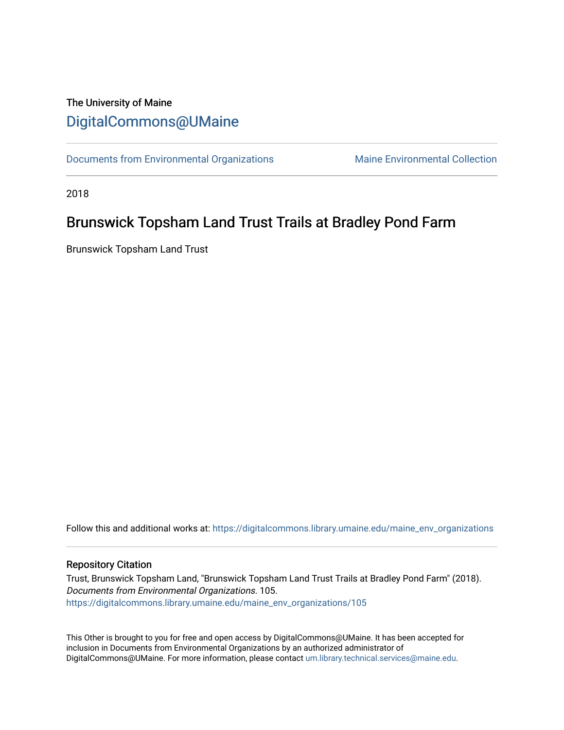## The University of Maine [DigitalCommons@UMaine](https://digitalcommons.library.umaine.edu/)

[Documents from Environmental Organizations](https://digitalcommons.library.umaine.edu/maine_env_organizations) Maine Environmental Collection

2018

## Brunswick Topsham Land Trust Trails at Bradley Pond Farm

Brunswick Topsham Land Trust

Follow this and additional works at: [https://digitalcommons.library.umaine.edu/maine\\_env\\_organizations](https://digitalcommons.library.umaine.edu/maine_env_organizations?utm_source=digitalcommons.library.umaine.edu%2Fmaine_env_organizations%2F105&utm_medium=PDF&utm_campaign=PDFCoverPages)

## Repository Citation

Trust, Brunswick Topsham Land, "Brunswick Topsham Land Trust Trails at Bradley Pond Farm" (2018). Documents from Environmental Organizations. 105. [https://digitalcommons.library.umaine.edu/maine\\_env\\_organizations/105](https://digitalcommons.library.umaine.edu/maine_env_organizations/105?utm_source=digitalcommons.library.umaine.edu%2Fmaine_env_organizations%2F105&utm_medium=PDF&utm_campaign=PDFCoverPages)

This Other is brought to you for free and open access by DigitalCommons@UMaine. It has been accepted for inclusion in Documents from Environmental Organizations by an authorized administrator of DigitalCommons@UMaine. For more information, please contact [um.library.technical.services@maine.edu](mailto:um.library.technical.services@maine.edu).